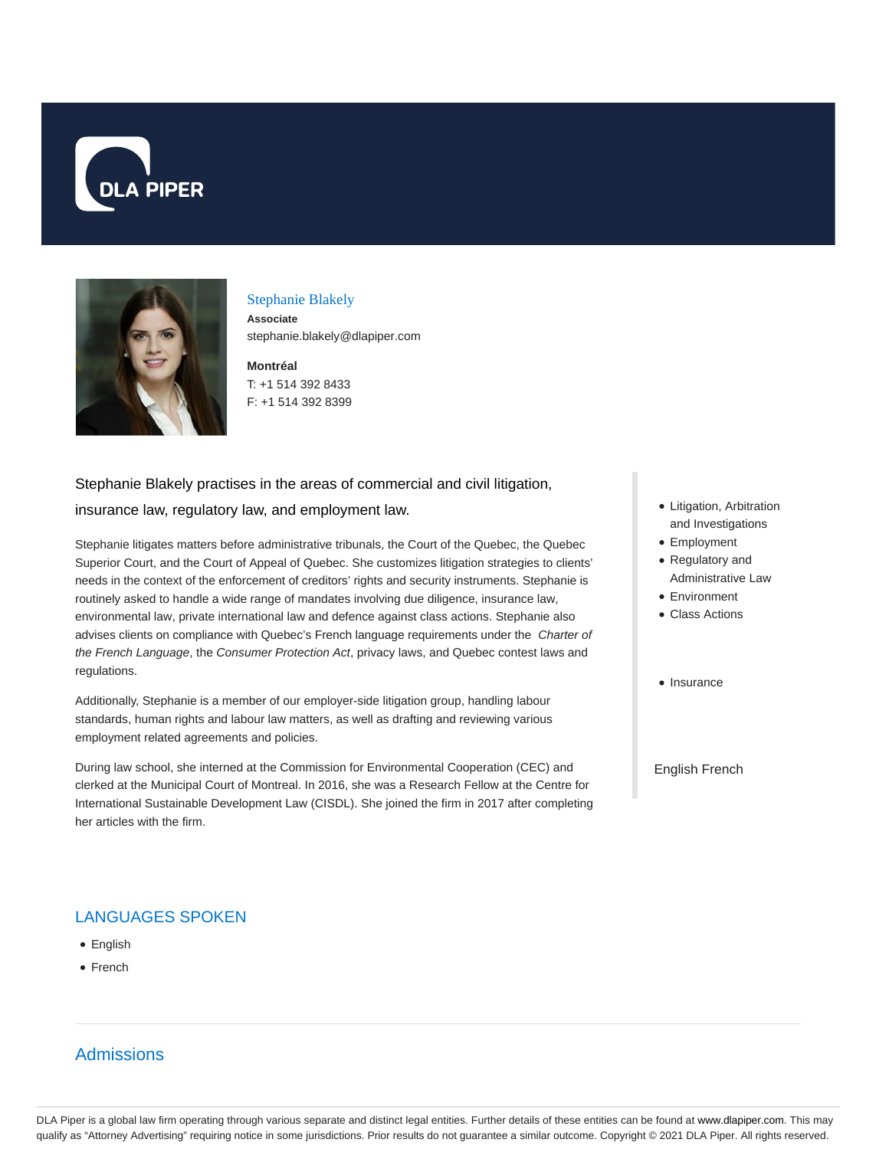



#### Stephanie Blakely

**Associate** stephanie.blakely@dlapiper.com

#### **Montréal** T: +1 514 392 8433 F: +1 514 392 8399

# Stephanie Blakely practises in the areas of commercial and civil litigation,

#### insurance law, regulatory law, and employment law.

Stephanie litigates matters before administrative tribunals, the Court of the Quebec, the Quebec Superior Court, and the Court of Appeal of Quebec. She customizes litigation strategies to clients' needs in the context of the enforcement of creditors' rights and security instruments. Stephanie is routinely asked to handle a wide range of mandates involving due diligence, insurance law, environmental law, private international law and defence against class actions. Stephanie also advises clients on compliance with Quebec's French language requirements under the Charter of the French Language, the Consumer Protection Act, privacy laws, and Quebec contest laws and regulations.

Additionally, Stephanie is a member of our employer-side litigation group, handling labour standards, human rights and labour law matters, as well as drafting and reviewing various employment related agreements and policies.

During law school, she interned at the Commission for Environmental Cooperation (CEC) and clerked at the Municipal Court of Montreal. In 2016, she was a Research Fellow at the Centre for International Sustainable Development Law (CISDL). She joined the firm in 2017 after completing her articles with the firm.

### LANGUAGES SPOKEN

- English
- French

# Admissions

- Litigation, Arbitration and Investigations
- Employment
- Regulatory and Administrative Law
- Environment
- Class Actions
- Insurance

#### English French

DLA Piper is a global law firm operating through various separate and distinct legal entities. Further details of these entities can be found at www.dlapiper.com. This may qualify as "Attorney Advertising" requiring notice in some jurisdictions. Prior results do not guarantee a similar outcome. Copyright © 2021 DLA Piper. All rights reserved.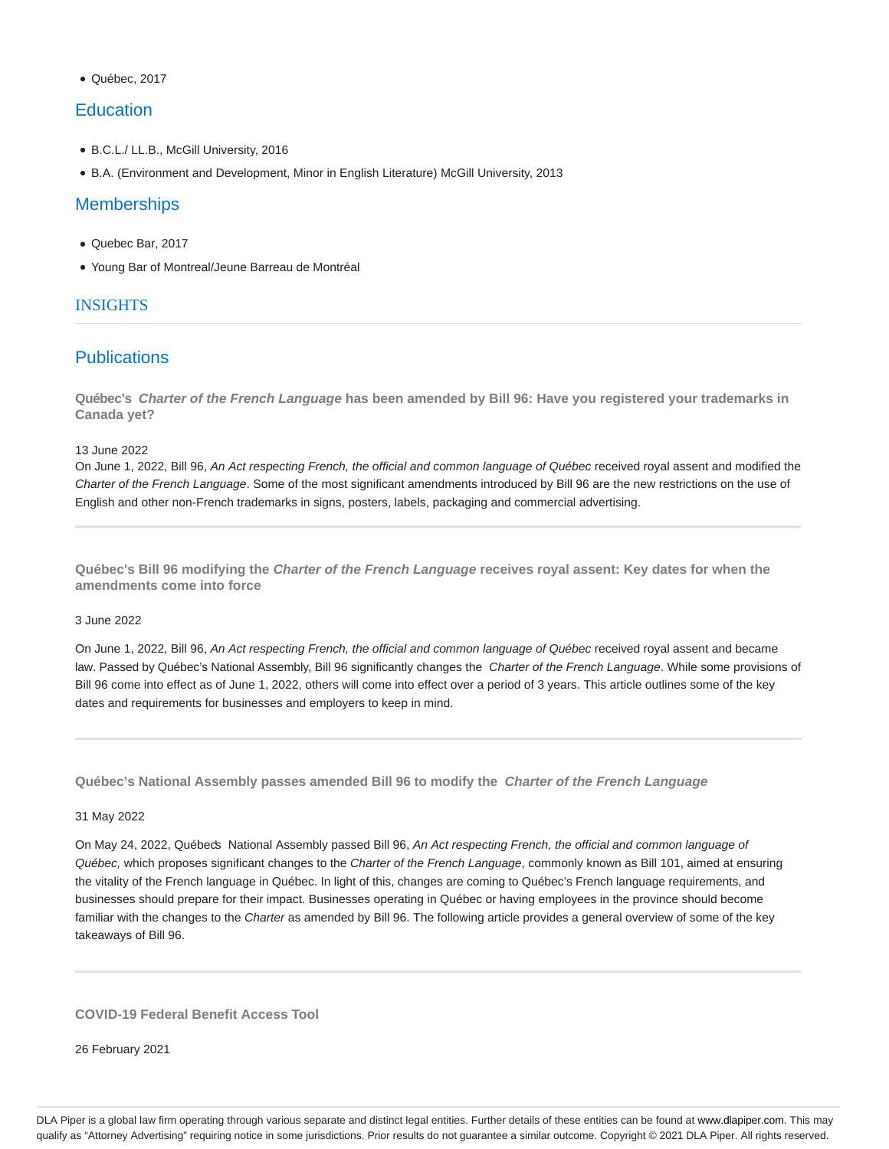• Québec, 2017

## **Education**

- B.C.L./ LL.B., McGill University, 2016
- B.A. (Environment and Development, Minor in English Literature) McGill University, 2013

### **Memberships**

- Quebec Bar, 2017
- Young Bar of Montreal/Jeune Barreau de Montréal

#### INSIGHTS

# **Publications**

**Québec's Charter of the French Language has been amended by Bill 96: Have you registered your trademarks in Canada yet?**

13 June 2022

On June 1, 2022, Bill 96, An Act respecting French, the official and common language of Québec received royal assent and modified the Charter of the French Language. Some of the most significant amendments introduced by Bill 96 are the new restrictions on the use of English and other non-French trademarks in signs, posters, labels, packaging and commercial advertising.

**Québec's Bill 96 modifying the Charter of the French Language receives royal assent: Key dates for when the amendments come into force**

#### 3 June 2022

On June 1, 2022, Bill 96, An Act respecting French, the official and common language of Québec received royal assent and became law. Passed by Québec's National Assembly, Bill 96 significantly changes the Charter of the French Language. While some provisions of Bill 96 come into effect as of June 1, 2022, others will come into effect over a period of 3 years. This article outlines some of the key dates and requirements for businesses and employers to keep in mind.

**Québec's National Assembly passes amended Bill 96 to modify the Charter of the French Language**

#### 31 May 2022

On May 24, 2022, Québecs National Assembly passed Bill 96, An Act respecting French, the official and common language of Québec, which proposes significant changes to the Charter of the French Language, commonly known as Bill 101, aimed at ensuring the vitality of the French language in Québec. In light of this, changes are coming to Québec's French language requirements, and businesses should prepare for their impact. Businesses operating in Québec or having employees in the province should become familiar with the changes to the Charter as amended by Bill 96. The following article provides a general overview of some of the key takeaways of Bill 96.

**COVID-19 Federal Benefit Access Tool**

26 February 2021

DLA Piper is a global law firm operating through various separate and distinct legal entities. Further details of these entities can be found at www.dlapiper.com. This may qualify as "Attorney Advertising" requiring notice in some jurisdictions. Prior results do not guarantee a similar outcome. Copyright © 2021 DLA Piper. All rights reserved.